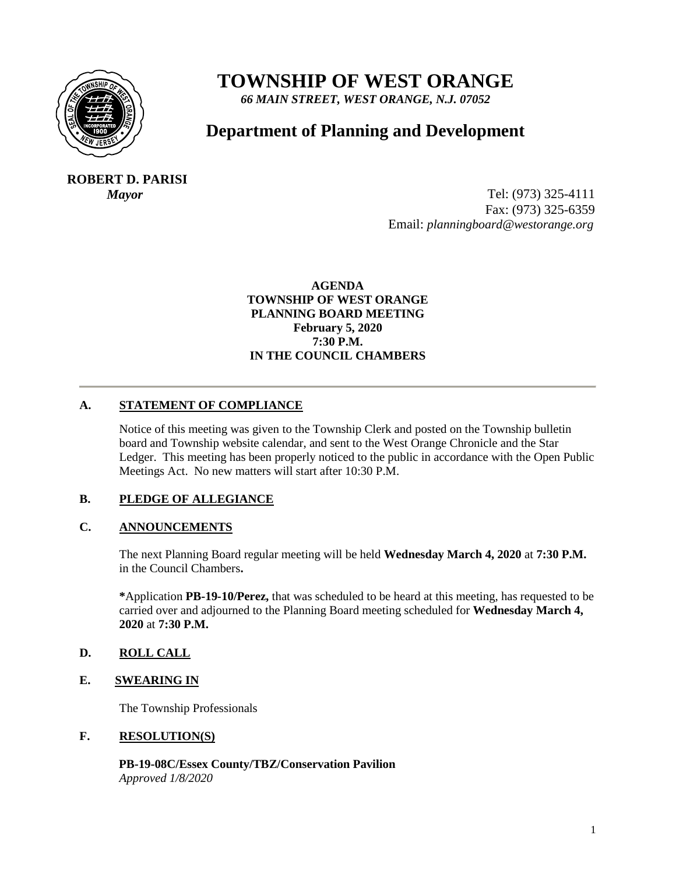

# **TOWNSHIP OF WEST ORANGE**

*66 MAIN STREET, WEST ORANGE, N.J. 07052*

# **Department of Planning and Development**

 **ROBERT D. PARISI**

*Mayor* Tel: (973) 325-4111 Fax: (973) 325-6359 Email: *planningboard@westorange.org*

> **AGENDA TOWNSHIP OF WEST ORANGE PLANNING BOARD MEETING February 5, 2020 7:30 P.M. IN THE COUNCIL CHAMBERS**

# **A. STATEMENT OF COMPLIANCE**

Notice of this meeting was given to the Township Clerk and posted on the Township bulletin board and Township website calendar, and sent to the West Orange Chronicle and the Star Ledger. This meeting has been properly noticed to the public in accordance with the Open Public Meetings Act. No new matters will start after 10:30 P.M.

#### **B. PLEDGE OF ALLEGIANCE**

#### **C. ANNOUNCEMENTS**

The next Planning Board regular meeting will be held **Wednesday March 4, 2020** at **7:30 P.M.** in the Council Chambers**.**

**\***Application **PB-19-10/Perez,** that was scheduled to be heard at this meeting, has requested to be carried over and adjourned to the Planning Board meeting scheduled for **Wednesday March 4, 2020** at **7:30 P.M.**

#### **D. ROLL CALL**

#### **E. SWEARING IN**

The Township Professionals

#### **F. RESOLUTION(S)**

 **PB-19-08C/Essex County/TBZ/Conservation Pavilion** *Approved 1/8/2020*